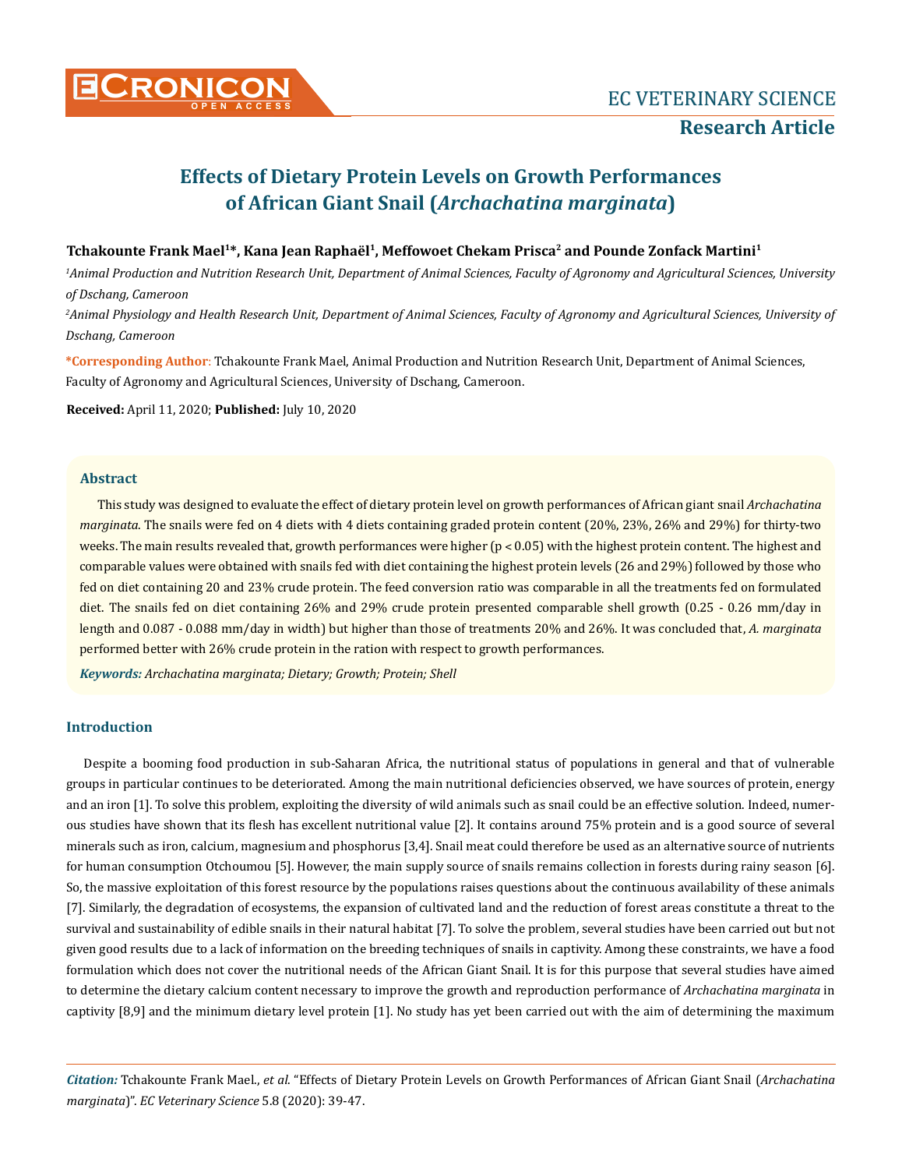

# **Effects of Dietary Protein Levels on Growth Performances of African Giant Snail (***Archachatina marginata***)**

## Tchakounte Frank Mael<sup>1\*</sup>, Kana Jean Raphaël<sup>1</sup>, Meffowoet Chekam Prisca<sup>2</sup> and Pounde Zonfack Martini<sup>1</sup>

*1 Animal Production and Nutrition Research Unit, Department of Animal Sciences, Faculty of Agronomy and Agricultural Sciences, University of Dschang, Cameroon*

*2 Animal Physiology and Health Research Unit, Department of Animal Sciences, Faculty of Agronomy and Agricultural Sciences, University of Dschang, Cameroon* 

**\*Corresponding Author**: Tchakounte Frank Mael, Animal Production and Nutrition Research Unit, Department of Animal Sciences, Faculty of Agronomy and Agricultural Sciences, University of Dschang, Cameroon.

**Received:** April 11, 2020; **Published:** July 10, 2020

## **Abstract**

This study was designed to evaluate the effect of dietary protein level on growth performances of African giant snail *Archachatina marginata*. The snails were fed on 4 diets with 4 diets containing graded protein content (20%, 23%, 26% and 29%) for thirty-two weeks. The main results revealed that, growth performances were higher (p < 0.05) with the highest protein content. The highest and comparable values were obtained with snails fed with diet containing the highest protein levels (26 and 29%) followed by those who fed on diet containing 20 and 23% crude protein. The feed conversion ratio was comparable in all the treatments fed on formulated diet. The snails fed on diet containing 26% and 29% crude protein presented comparable shell growth (0.25 - 0.26 mm/day in length and 0.087 - 0.088 mm/day in width) but higher than those of treatments 20% and 26%. It was concluded that, *A. marginata*  performed better with 26% crude protein in the ration with respect to growth performances.

*Keywords: Archachatina marginata; Dietary; Growth; Protein; Shell* 

## **Introduction**

Despite a booming food production in sub-Saharan Africa, the nutritional status of populations in general and that of vulnerable groups in particular continues to be deteriorated. Among the main nutritional deficiencies observed, we have sources of protein, energy and an iron [1]. To solve this problem, exploiting the diversity of wild animals such as snail could be an effective solution. Indeed, numerous studies have shown that its flesh has excellent nutritional value [2]. It contains around 75% protein and is a good source of several minerals such as iron, calcium, magnesium and phosphorus [3,4]. Snail meat could therefore be used as an alternative source of nutrients for human consumption Otchoumou [5]. However, the main supply source of snails remains collection in forests during rainy season [6]. So, the massive exploitation of this forest resource by the populations raises questions about the continuous availability of these animals [7]. Similarly, the degradation of ecosystems, the expansion of cultivated land and the reduction of forest areas constitute a threat to the survival and sustainability of edible snails in their natural habitat [7]. To solve the problem, several studies have been carried out but not given good results due to a lack of information on the breeding techniques of snails in captivity. Among these constraints, we have a food formulation which does not cover the nutritional needs of the African Giant Snail. It is for this purpose that several studies have aimed to determine the dietary calcium content necessary to improve the growth and reproduction performance of *Archachatina marginata* in captivity [8,9] and the minimum dietary level protein [1]. No study has yet been carried out with the aim of determining the maximum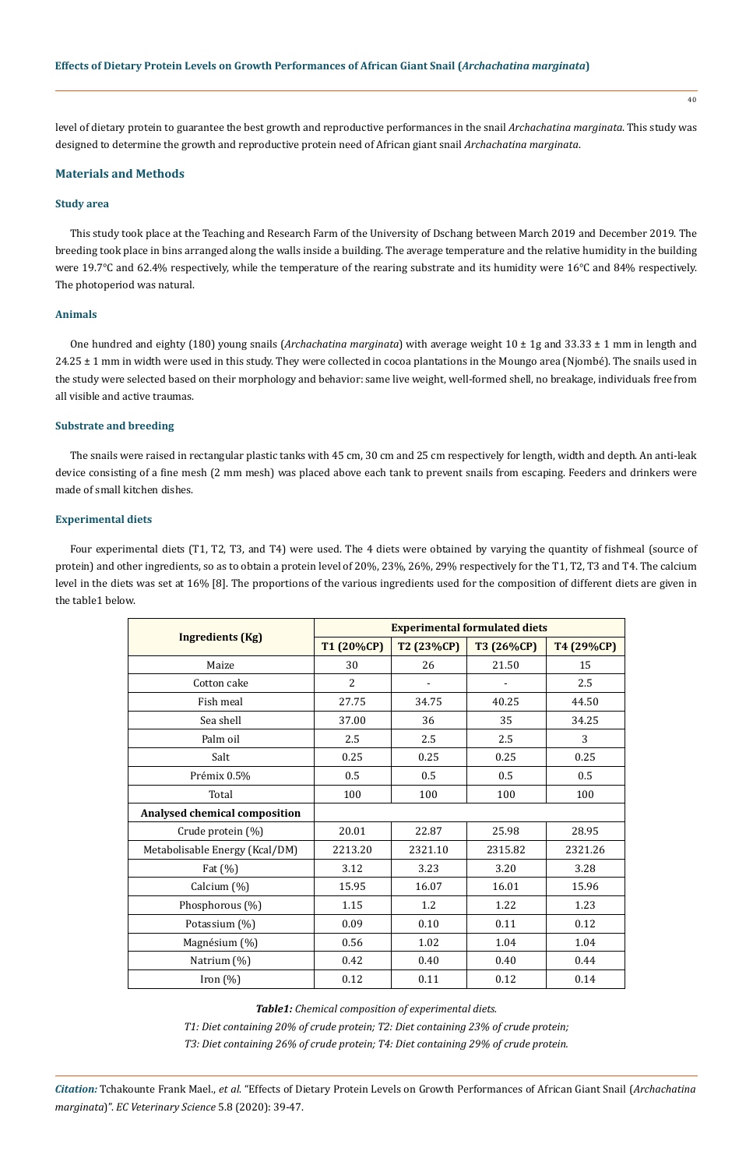level of dietary protein to guarantee the best growth and reproductive performances in the snail *Archachatina marginata*. This study was designed to determine the growth and reproductive protein need of African giant snail *Archachatina marginata*.

## **Materials and Methods**

## **Study area**

This study took place at the Teaching and Research Farm of the University of Dschang between March 2019 and December 2019. The breeding took place in bins arranged along the walls inside a building. The average temperature and the relative humidity in the building were 19.7°C and 62.4% respectively, while the temperature of the rearing substrate and its humidity were 16°C and 84% respectively. The photoperiod was natural.

## **Animals**

One hundred and eighty (180) young snails (*Archachatina marginata*) with average weight 10 ± 1g and 33.33 ± 1 mm in length and 24.25 ± 1 mm in width were used in this study. They were collected in cocoa plantations in the Moungo area (Njombé). The snails used in the study were selected based on their morphology and behavior: same live weight, well-formed shell, no breakage, individuals free from all visible and active traumas.

## **Substrate and breeding**

The snails were raised in rectangular plastic tanks with 45 cm, 30 cm and 25 cm respectively for length, width and depth. An anti-leak device consisting of a fine mesh (2 mm mesh) was placed above each tank to prevent snails from escaping. Feeders and drinkers were made of small kitchen dishes.

## **Experimental diets**

Four experimental diets (T1, T2, T3, and T4) were used. The 4 diets were obtained by varying the quantity of fishmeal (source of protein) and other ingredients, so as to obtain a protein level of 20%, 23%, 26%, 29% respectively for the T1, T2, T3 and T4. The calcium level in the diets was set at 16% [8]. The proportions of the various ingredients used for the composition of different diets are given in the table1 below.

|                                | <b>Experimental formulated diets</b> |            |            |            |  |
|--------------------------------|--------------------------------------|------------|------------|------------|--|
| <b>Ingredients (Kg)</b>        | T1 (20%CP)                           | T2 (23%CP) | T3 (26%CP) | T4 (29%CP) |  |
| Maize                          | 30                                   | 26         | 21.50      | 15         |  |
| Cotton cake                    | 2                                    |            |            | 2.5        |  |
| Fish meal                      | 27.75                                | 34.75      | 40.25      | 44.50      |  |
| Sea shell                      | 37.00                                | 36         | 35         | 34.25      |  |
| Palm oil                       | 2.5                                  | 2.5        | 2.5        | 3          |  |
| Salt                           | 0.25                                 | 0.25       | 0.25       | 0.25       |  |
| Prémix 0.5%                    | 0.5                                  | 0.5        | 0.5        | 0.5        |  |
| Total                          | 100                                  | 100        | 100        | 100        |  |
| Analysed chemical composition  |                                      |            |            |            |  |
| Crude protein (%)              | 20.01                                | 22.87      | 25.98      | 28.95      |  |
| Metabolisable Energy (Kcal/DM) | 2213.20                              | 2321.10    | 2315.82    | 2321.26    |  |
| Fat $(\%)$                     | 3.12                                 | 3.23       | 3.20       | 3.28       |  |
| Calcium (%)                    | 15.95                                | 16.07      | 16.01      | 15.96      |  |
| Phosphorous (%)                | 1.15                                 | 1.2        | 1.22       | 1.23       |  |
| Potassium (%)                  | 0.09                                 | 0.10       | 0.11       | 0.12       |  |
| Magnésium (%)                  | 0.56                                 | 1.02       | 1.04       | 1.04       |  |
| Natrium (%)                    | 0.42                                 | 0.40       | 0.40       | 0.44       |  |
| Iron $(\%)$                    | 0.12                                 | 0.11       | 0.12       | 0.14       |  |

*Table1: Chemical composition of experimental diets.*

*T1: Diet containing 20% of crude protein; T2: Diet containing 23% of crude protein;* 

*T3: Diet containing 26% of crude protein; T4: Diet containing 29% of crude protein.*

40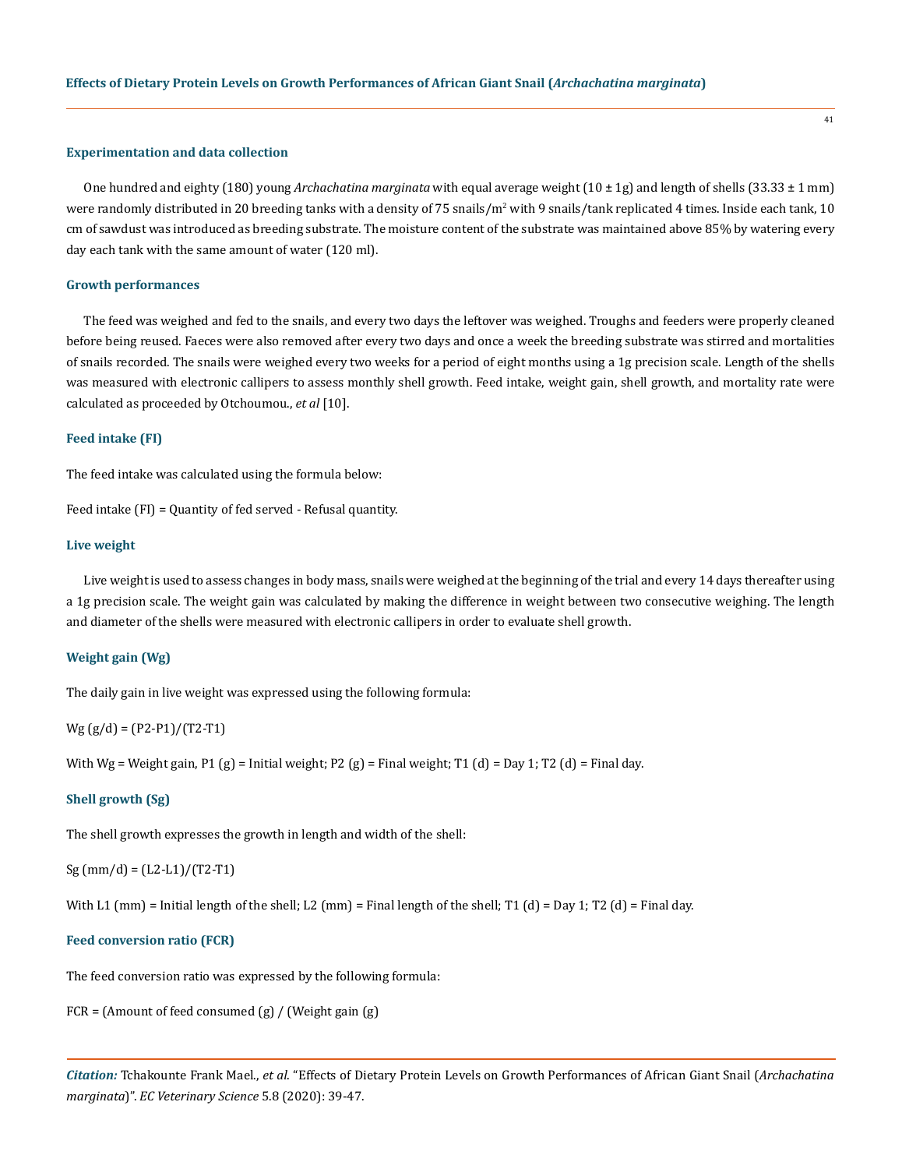#### **Experimentation and data collection**

One hundred and eighty (180) young *Archachatina marginata* with equal average weight (10 ± 1g) and length of shells (33.33 ± 1 mm) were randomly distributed in 20 breeding tanks with a density of 75 snails/m<sup>2</sup> with 9 snails/tank replicated 4 times. Inside each tank, 10 cm of sawdust was introduced as breeding substrate. The moisture content of the substrate was maintained above 85% by watering every day each tank with the same amount of water (120 ml).

## **Growth performances**

The feed was weighed and fed to the snails, and every two days the leftover was weighed. Troughs and feeders were properly cleaned before being reused. Faeces were also removed after every two days and once a week the breeding substrate was stirred and mortalities of snails recorded. The snails were weighed every two weeks for a period of eight months using a 1g precision scale. Length of the shells was measured with electronic callipers to assess monthly shell growth. Feed intake, weight gain, shell growth, and mortality rate were calculated as proceeded by Otchoumou., *et al* [10].

#### **Feed intake (FI)**

The feed intake was calculated using the formula below:

Feed intake (FI) = Quantity of fed served - Refusal quantity.

#### **Live weight**

Live weight is used to assess changes in body mass, snails were weighed at the beginning of the trial and every 14 days thereafter using a 1g precision scale. The weight gain was calculated by making the difference in weight between two consecutive weighing. The length and diameter of the shells were measured with electronic callipers in order to evaluate shell growth.

#### **Weight gain (Wg)**

The daily gain in live weight was expressed using the following formula:

 $Wg (g/d) = (P2-P1)/(T2-T1)$ 

With Wg = Weight gain, P1 (g) = Initial weight; P2 (g) = Final weight; T1 (d) = Day 1; T2 (d) = Final day.

#### **Shell growth (Sg)**

The shell growth expresses the growth in length and width of the shell:

 $Sg$  (mm/d) = (L2-L1)/(T2-T1)

With L1 (mm) = Initial length of the shell; L2 (mm) = Final length of the shell; T1 (d) = Day 1; T2 (d) = Final day.

## **Feed conversion ratio (FCR)**

The feed conversion ratio was expressed by the following formula:

FCR = (Amount of feed consumed (g) / (Weight gain (g)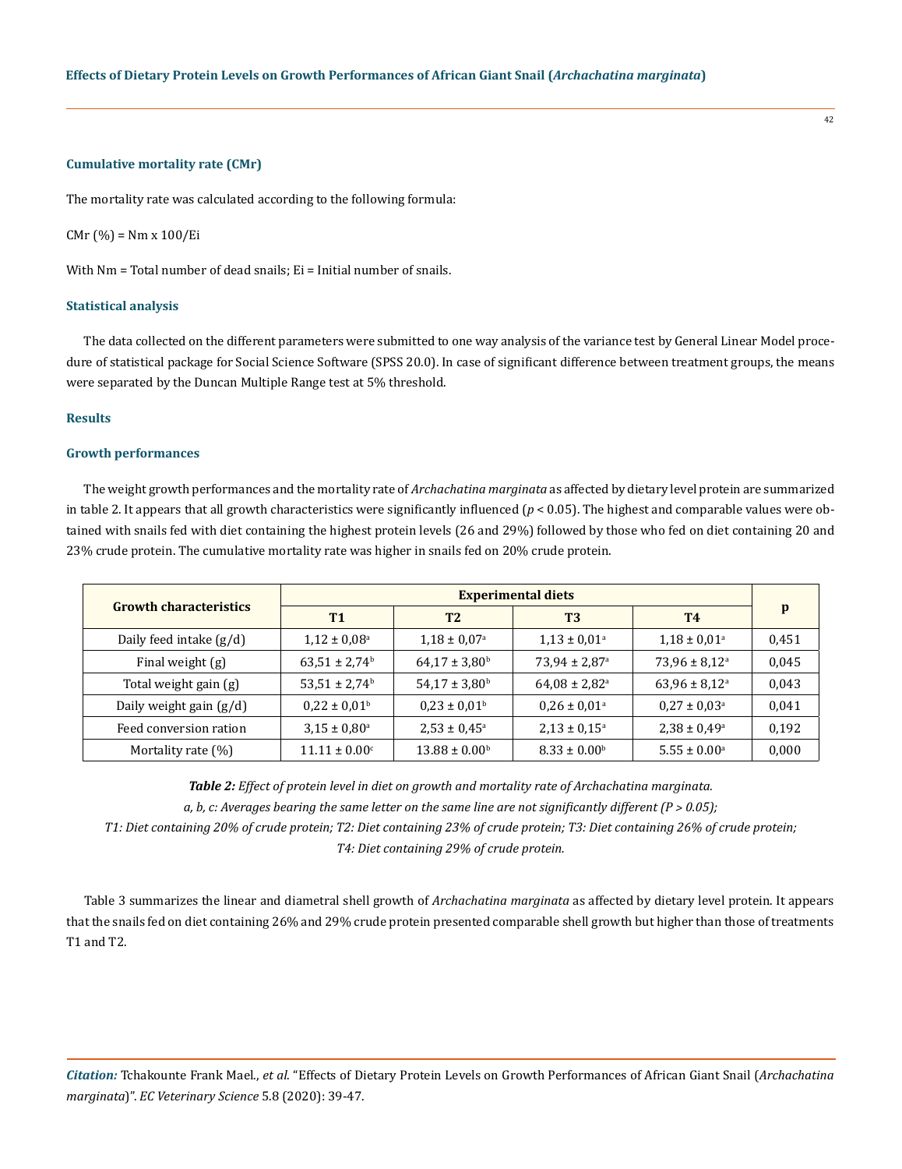## **Cumulative mortality rate (CMr)**

The mortality rate was calculated according to the following formula:

CMr (%) = Nm x 100/Ei

With Nm = Total number of dead snails; Ei = Initial number of snails.

#### **Statistical analysis**

The data collected on the different parameters were submitted to one way analysis of the variance test by General Linear Model procedure of statistical package for Social Science Software (SPSS 20.0). In case of significant difference between treatment groups, the means were separated by the Duncan Multiple Range test at 5% threshold.

## **Results**

## **Growth performances**

The weight growth performances and the mortality rate of *Archachatina marginata* as affected by dietary level protein are summarized in table 2. It appears that all growth characteristics were significantly influenced  $(p < 0.05)$ . The highest and comparable values were obtained with snails fed with diet containing the highest protein levels (26 and 29%) followed by those who fed on diet containing 20 and 23% crude protein. The cumulative mortality rate was higher in snails fed on 20% crude protein.

| <b>Growth characteristics</b> | <b>Experimental diets</b>     |                               |                               |                              |       |
|-------------------------------|-------------------------------|-------------------------------|-------------------------------|------------------------------|-------|
|                               | <b>T1</b>                     | T <sub>2</sub>                | T <sub>3</sub>                | <b>T4</b>                    | p     |
| Daily feed intake $(g/d)$     | $1,12 \pm 0,08^{\rm a}$       | $1,18 \pm 0,07$ <sup>a</sup>  | $1,13 \pm 0,01$ <sup>a</sup>  | $1,18 \pm 0,01$ <sup>a</sup> | 0,451 |
| Final weight (g)              | $63,51 \pm 2,74$ <sup>b</sup> | $64,17 \pm 3,80$ <sup>b</sup> | $73.94 \pm 2.87$ <sup>a</sup> | $73.96 \pm 8.12^{\circ}$     | 0,045 |
| Total weight gain (g)         | $53,51 \pm 2,74$ <sup>b</sup> | $54,17 \pm 3,80^{\rm b}$      | $64,08 \pm 2,82^{\circ}$      | $63,96 \pm 8,12^{\circ}$     | 0,043 |
| Daily weight gain $(g/d)$     | $0.22 \pm 0.01^{\rm b}$       | $0.23 \pm 0.01^{\rm b}$       | $0.26 \pm 0.01$ <sup>a</sup>  | $0.27 \pm 0.03$ <sup>a</sup> | 0,041 |
| Feed conversion ration        | $3.15 \pm 0.80^{\circ}$       | $2,53 \pm 0,45^{\circ}$       | $2,13 \pm 0,15^{\circ}$       | $2,38 \pm 0,49^{\rm a}$      | 0,192 |
| Mortality rate (%)            | $11.11 \pm 0.00^{\circ}$      | $13.88 \pm 0.00^{\circ}$      | $8.33 \pm 0.00^{\circ}$       | $5.55 \pm 0.00^{\circ}$      | 0,000 |

*Table 2: Effect of protein level in diet on growth and mortality rate of Archachatina marginata. a, b, c: Averages bearing the same letter on the same line are not significantly different (P ˃ 0.05);* 

*T1: Diet containing 20% of crude protein; T2: Diet containing 23% of crude protein; T3: Diet containing 26% of crude protein; T4: Diet containing 29% of crude protein.*

Table 3 summarizes the linear and diametral shell growth of *Archachatina marginata* as affected by dietary level protein. It appears that the snails fed on diet containing 26% and 29% crude protein presented comparable shell growth but higher than those of treatments T1 and T2.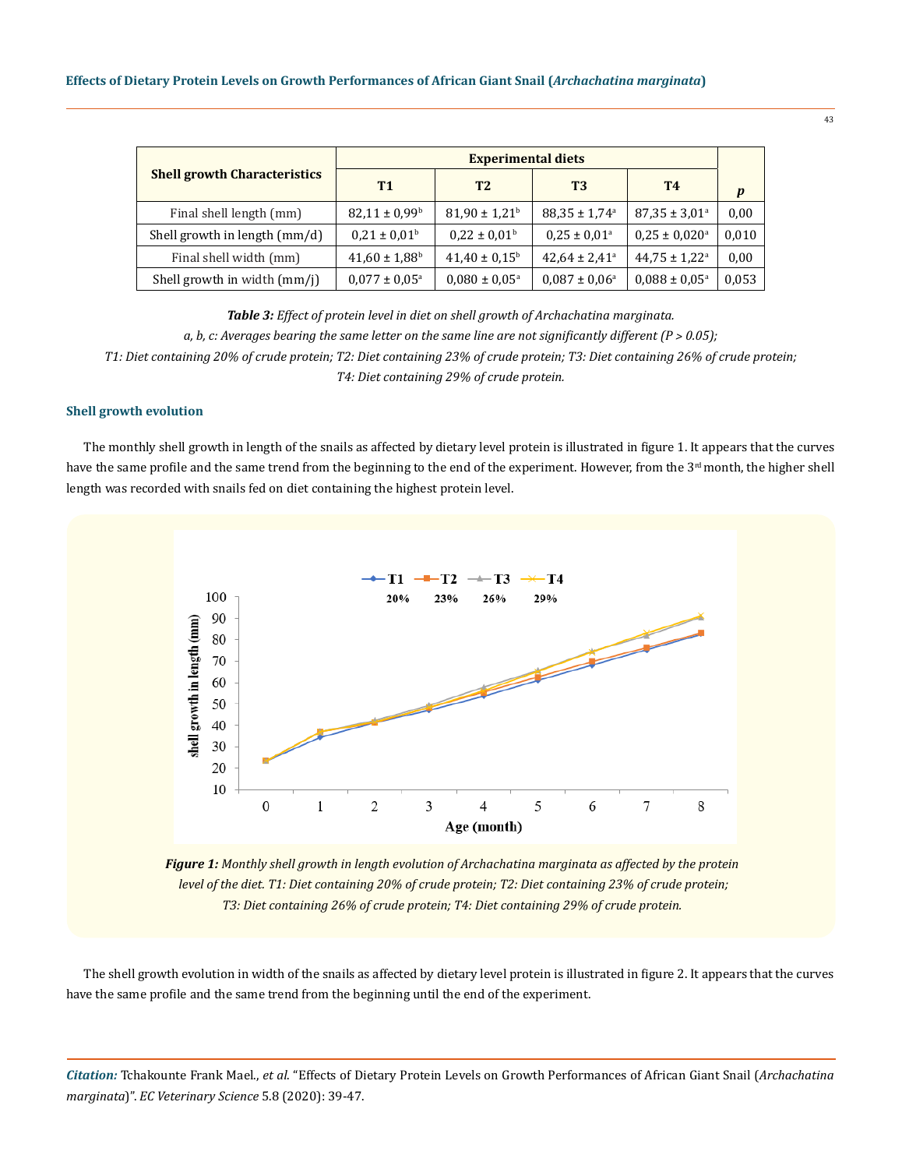| <b>Shell growth Characteristics</b> | <b>Experimental diets</b>     |                               |                               |                               |       |
|-------------------------------------|-------------------------------|-------------------------------|-------------------------------|-------------------------------|-------|
|                                     | <b>T1</b>                     | T <sub>2</sub>                | T3                            | <b>T4</b>                     | p     |
| Final shell length (mm)             | $82,11 \pm 0,99$ <sup>b</sup> | $81,90 \pm 1,21$ <sup>b</sup> | $88,35 \pm 1,74$ <sup>a</sup> | $87,35 \pm 3,01^{\circ}$      | 0,00  |
| Shell growth in length (mm/d)       | $0.21 \pm 0.01^{\rm b}$       | $0.22 \pm 0.01$ <sup>b</sup>  | $0.25 \pm 0.01$ <sup>a</sup>  | $0.25 \pm 0.020$ <sup>a</sup> | 0,010 |
| Final shell width (mm)              | $41,60 \pm 1,88$ <sup>b</sup> | $41,40 \pm 0,15^{\circ}$      | $42,64 \pm 2,41^{\circ}$      | $44,75 \pm 1,22^{\circ}$      | 0,00  |
| Shell growth in width (mm/j)        | $0.077 \pm 0.05^{\text{a}}$   | $0.080 \pm 0.05^{\text{a}}$   | $0.087 \pm 0.06^{\circ}$      | $0.088 \pm 0.05^{\text{a}}$   | 0,053 |

*Table 3: Effect of protein level in diet on shell growth of Archachatina marginata. a, b, c: Averages bearing the same letter on the same line are not significantly different*  $(P > 0.05)$ *; T1: Diet containing 20% of crude protein; T2: Diet containing 23% of crude protein; T3: Diet containing 26% of crude protein; T4: Diet containing 29% of crude protein.*

**Shell growth evolution**

The monthly shell growth in length of the snails as affected by dietary level protein is illustrated in figure 1. It appears that the curves have the same profile and the same trend from the beginning to the end of the experiment. However, from the 3<sup>rd</sup> month, the higher shell length was recorded with snails fed on diet containing the highest protein level.



*Figure 1: Monthly shell growth in length evolution of Archachatina marginata as affected by the protein level of the diet. T1: Diet containing 20% of crude protein; T2: Diet containing 23% of crude protein; T3: Diet containing 26% of crude protein; T4: Diet containing 29% of crude protein.*

The shell growth evolution in width of the snails as affected by dietary level protein is illustrated in figure 2. It appears that the curves have the same profile and the same trend from the beginning until the end of the experiment.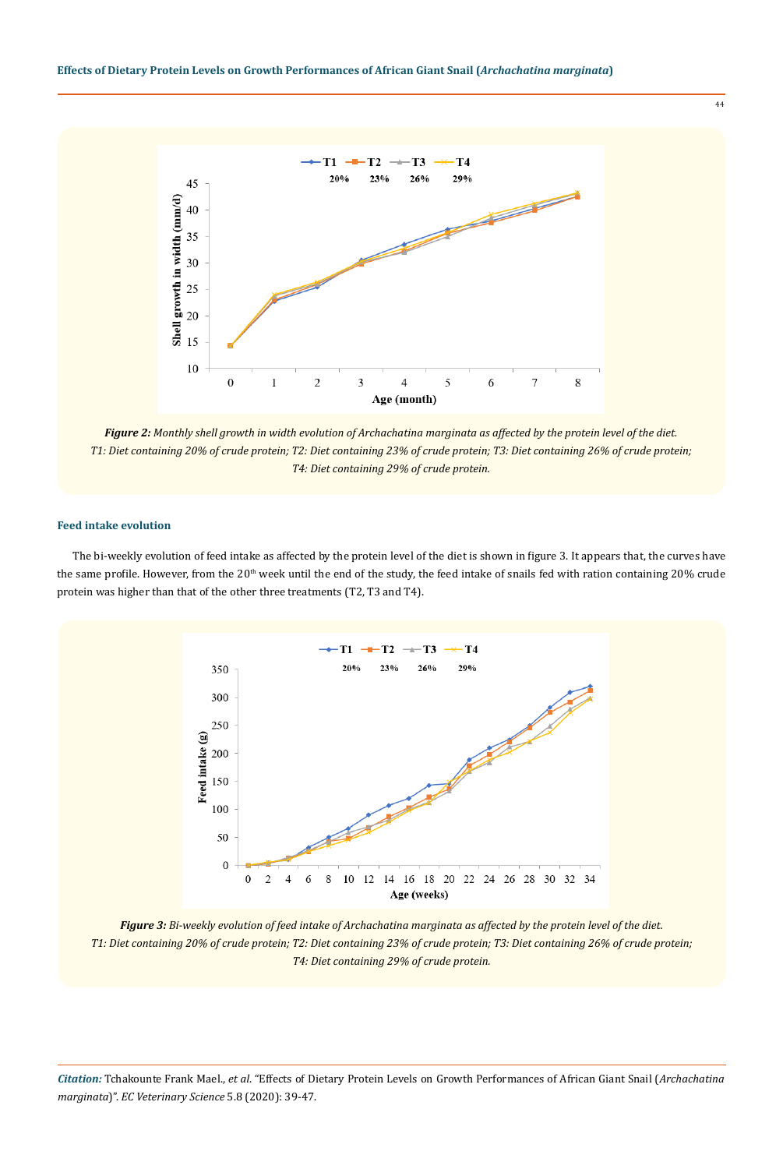

*Figure 2: Monthly shell growth in width evolution of Archachatina marginata as affected by the protein level of the diet. T1: Diet containing 20% of crude protein; T2: Diet containing 23% of crude protein; T3: Diet containing 26% of crude protein; T4: Diet containing 29% of crude protein.*

#### **Feed intake evolution**

The bi-weekly evolution of feed intake as affected by the protein level of the diet is shown in figure 3. It appears that, the curves have the same profile. However, from the 20<sup>th</sup> week until the end of the study, the feed intake of snails fed with ration containing 20% crude protein was higher than that of the other three treatments (T2, T3 and T4).



*Figure 3: Bi-weekly evolution of feed intake of Archachatina marginata as affected by the protein level of the diet. T1: Diet containing 20% of crude protein; T2: Diet containing 23% of crude protein; T3: Diet containing 26% of crude protein; T4: Diet containing 29% of crude protein.*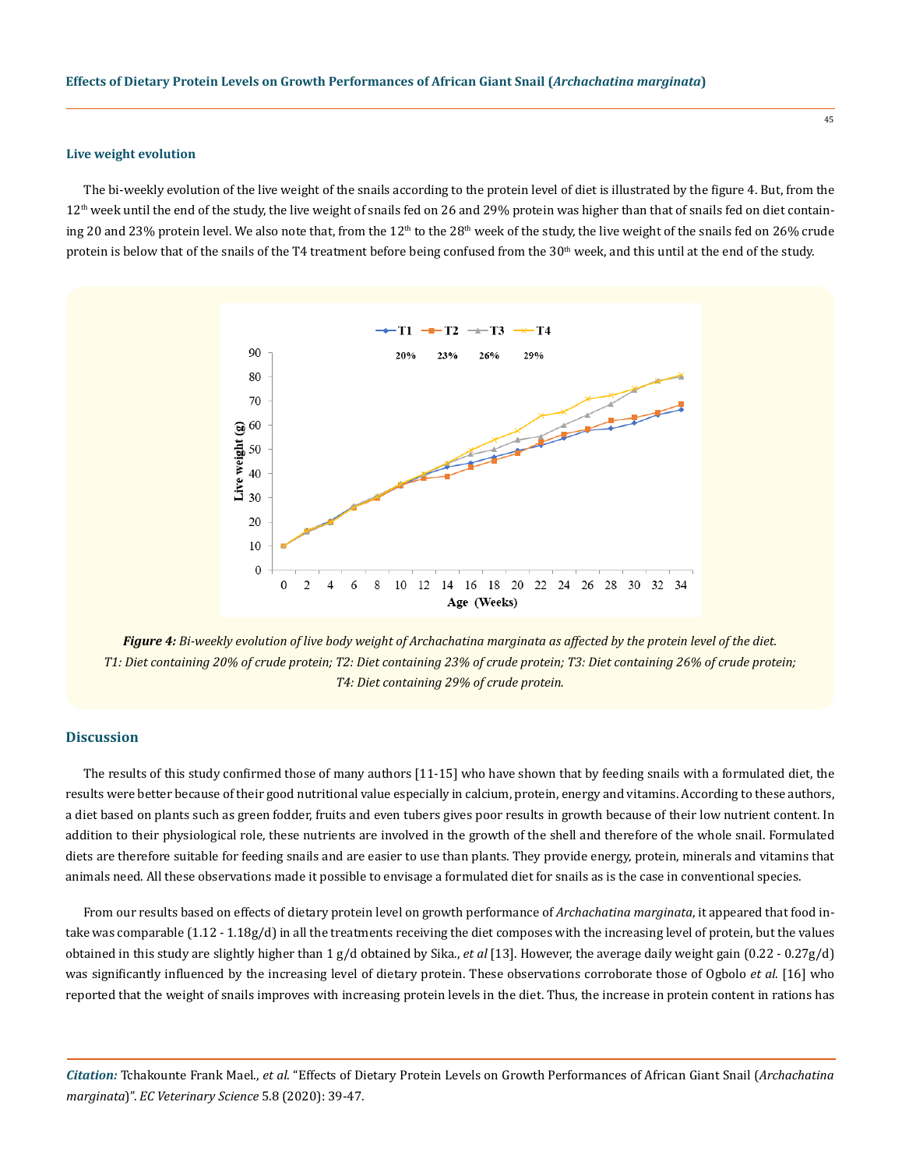#### **Live weight evolution**

The bi-weekly evolution of the live weight of the snails according to the protein level of diet is illustrated by the figure 4. But, from the 12<sup>th</sup> week until the end of the study, the live weight of snails fed on 26 and 29% protein was higher than that of snails fed on diet containing 20 and 23% protein level. We also note that, from the  $12<sup>th</sup>$  to the 28<sup>th</sup> week of the study, the live weight of the snails fed on 26% crude protein is below that of the snails of the T4 treatment before being confused from the 30<sup>th</sup> week, and this until at the end of the study.



*Figure 4: Bi-weekly evolution of live body weight of Archachatina marginata as affected by the protein level of the diet. T1: Diet containing 20% of crude protein; T2: Diet containing 23% of crude protein; T3: Diet containing 26% of crude protein; T4: Diet containing 29% of crude protein.*

## **Discussion**

The results of this study confirmed those of many authors [11-15] who have shown that by feeding snails with a formulated diet, the results were better because of their good nutritional value especially in calcium, protein, energy and vitamins. According to these authors, a diet based on plants such as green fodder, fruits and even tubers gives poor results in growth because of their low nutrient content. In addition to their physiological role, these nutrients are involved in the growth of the shell and therefore of the whole snail. Formulated diets are therefore suitable for feeding snails and are easier to use than plants. They provide energy, protein, minerals and vitamins that animals need. All these observations made it possible to envisage a formulated diet for snails as is the case in conventional species.

From our results based on effects of dietary protein level on growth performance of *Archachatina marginata*, it appeared that food intake was comparable (1.12 - 1.18g/d) in all the treatments receiving the diet composes with the increasing level of protein, but the values obtained in this study are slightly higher than 1 g/d obtained by Sika., *et al* [13]. However, the average daily weight gain (0.22 - 0.27g/d) was significantly influenced by the increasing level of dietary protein. These observations corroborate those of Ogbolo *et al.* [16] who reported that the weight of snails improves with increasing protein levels in the diet. Thus, the increase in protein content in rations has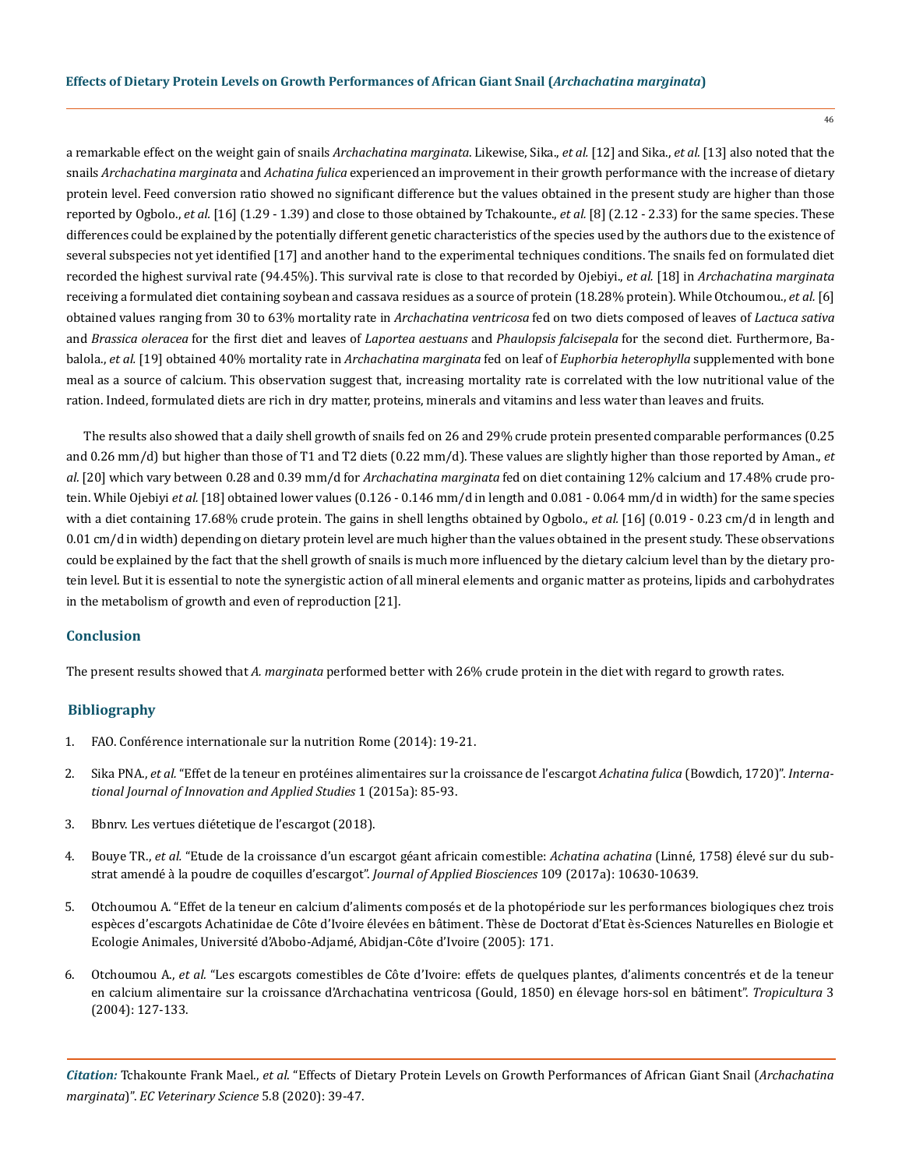a remarkable effect on the weight gain of snails *Archachatina marginata*. Likewise, Sika., *et al.* [12] and Sika., *et al.* [13] also noted that the snails *Archachatina marginata* and *Achatina fulica* experienced an improvement in their growth performance with the increase of dietary protein level. Feed conversion ratio showed no significant difference but the values obtained in the present study are higher than those reported by Ogbolo., *et al.* [16] (1.29 - 1.39) and close to those obtained by Tchakounte., *et al.* [8] (2.12 - 2.33) for the same species. These differences could be explained by the potentially different genetic characteristics of the species used by the authors due to the existence of several subspecies not yet identified [17] and another hand to the experimental techniques conditions. The snails fed on formulated diet recorded the highest survival rate (94.45%). This survival rate is close to that recorded by Ojebiyi., *et al.* [18] in *Archachatina marginata* receiving a formulated diet containing soybean and cassava residues as a source of protein (18.28% protein). While Otchoumou., et al. [6] obtained values ranging from 30 to 63% mortality rate in *Archachatina ventricosa* fed on two diets composed of leaves of *Lactuca sativa* and *Brassica oleracea* for the first diet and leaves of *Laportea aestuans* and *Phaulopsis falcisepala* for the second diet. Furthermore, Babalola., *et al.* [19] obtained 40% mortality rate in *Archachatina marginata* fed on leaf of *Euphorbia heterophylla* supplemented with bone meal as a source of calcium. This observation suggest that, increasing mortality rate is correlated with the low nutritional value of the ration. Indeed, formulated diets are rich in dry matter, proteins, minerals and vitamins and less water than leaves and fruits.

The results also showed that a daily shell growth of snails fed on 26 and 29% crude protein presented comparable performances (0.25 and 0.26 mm/d) but higher than those of T1 and T2 diets (0.22 mm/d). These values are slightly higher than those reported by Aman., *et al.* [20] which vary between 0.28 and 0.39 mm/d for *Archachatina marginata* fed on diet containing 12% calcium and 17.48% crude protein. While Ojebiyi *et al.* [18] obtained lower values (0.126 - 0.146 mm/d in length and 0.081 - 0.064 mm/d in width) for the same species with a diet containing 17.68% crude protein. The gains in shell lengths obtained by Ogbolo., *et al.* [16] (0.019 - 0.23 cm/d in length and 0.01 cm/d in width) depending on dietary protein level are much higher than the values obtained in the present study. These observations could be explained by the fact that the shell growth of snails is much more influenced by the dietary calcium level than by the dietary protein level. But it is essential to note the synergistic action of all mineral elements and organic matter as proteins, lipids and carbohydrates in the metabolism of growth and even of reproduction [21].

## **Conclusion**

The present results showed that *A. marginata* performed better with 26% crude protein in the diet with regard to growth rates.

## **Bibliography**

- 1. FAO. Conférence internationale sur la nutrition Rome (2014): 19-21.
- 2. Sika PNA., *et al.* ["Effet de la teneur en protéines alimentaires sur la croissance de l'escargot](https://www.researchgate.net/publication/315169244_Effet_de_la_teneur_en_proteines_alimentaires_sur_la_croissance_de_l%27escargot_Achatina_fulica_Bowdich_1720) *Achatina fulica* (Bowdich, 1720)". *Interna[tional Journal of Innovation and Applied Studies](https://www.researchgate.net/publication/315169244_Effet_de_la_teneur_en_proteines_alimentaires_sur_la_croissance_de_l%27escargot_Achatina_fulica_Bowdich_1720)* 1 (2015a): 85-93.
- 3. Bbnrv. Les vertues diétetique de l'escargot (2018).
- 4. Bouye TR., *et al.* ["Etude de la croissance d'un escargot géant africain comestible:](https://www.ajol.info/index.php/jab/article/view/155056) *Achatina achatina* (Linné, 1758) élevé sur du sub[strat amendé à la poudre de coquilles d'escargot".](https://www.ajol.info/index.php/jab/article/view/155056) *Journal of Applied Biosciences* 109 (2017a): 10630-10639.
- 5. Otchoumou A. "Effet de la teneur en calcium d'aliments composés et de la photopériode sur les performances biologiques chez trois espèces d'escargots Achatinidae de Côte d'Ivoire élevées en bâtiment. Thèse de Doctorat d'Etat ès-Sciences Naturelles en Biologie et Ecologie Animales, Université d'Abobo-Adjamé, Abidjan-Côte d'Ivoire (2005): 171.
- 6. Otchoumou A., *et al.* ["Les escargots comestibles de Côte d'Ivoire: effets de quelques plantes, d'aliments concentrés et de la teneur](https://www.researchgate.net/publication/231520762_Les_escargots_comestibles_de_Cote_d%27Ivoire_Effet_de_quelques_plantes_d%27aliments_concentres_et_de_la_teneur_en_calcium_alimentaire_sur_la_croissance_d%27Archachatina_ventricosa_Gould_1850_en_elevage_hors) [en calcium alimentaire sur la croissance d'Archachatina ventricosa \(Gould, 1850\) en élevage hors-sol en bâtiment".](https://www.researchgate.net/publication/231520762_Les_escargots_comestibles_de_Cote_d%27Ivoire_Effet_de_quelques_plantes_d%27aliments_concentres_et_de_la_teneur_en_calcium_alimentaire_sur_la_croissance_d%27Archachatina_ventricosa_Gould_1850_en_elevage_hors) *Tropicultura* 3 [\(2004\): 127-133.](https://www.researchgate.net/publication/231520762_Les_escargots_comestibles_de_Cote_d%27Ivoire_Effet_de_quelques_plantes_d%27aliments_concentres_et_de_la_teneur_en_calcium_alimentaire_sur_la_croissance_d%27Archachatina_ventricosa_Gould_1850_en_elevage_hors)

*Citation:* Tchakounte Frank Mael., *et al*. "Effects of Dietary Protein Levels on Growth Performances of African Giant Snail (*Archachatina marginata*)". *EC Veterinary Science* 5.8 (2020): 39-47.

46